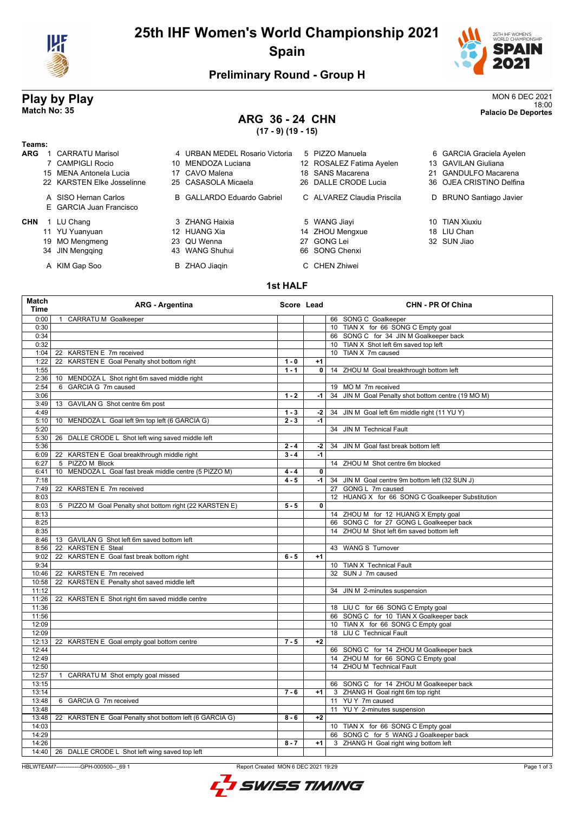

# **25th IHF Women's World Championship 2021 Spain**



### **Preliminary Round - Group H**

# **Play by Play** MON 6 DEC 2021

#### **ARG 36 - 24 CHN (17 - 9) (19 - 15)**

18:00 **Match No: 35 Palacio De Deportes**

| Teams:     |                                                 |    |                                |                            |                          |
|------------|-------------------------------------------------|----|--------------------------------|----------------------------|--------------------------|
| <b>ARG</b> | <b>CARRATU Marisol</b>                          |    | 4 URBAN MEDEL Rosario Victoria | 5 PIZZO Manuela            | 6 GARCIA Graciela Ayelen |
|            | 7 CAMPIGLI Rocio                                |    | 10 MENDOZA Luciana             | 12 ROSALEZ Fatima Ayelen   | 13 GAVILAN Giuliana      |
|            | 15 MENA Antonela Lucia                          |    | 17 CAVO Malena                 | 18 SANS Macarena           | 21 GANDULFO Macarena     |
|            | 22 KARSTEN Elke Josselinne                      |    | 25 CASASOLA Micaela            | 26 DALLE CRODE Lucia       | 36 OJEA CRISTINO Delfina |
|            | A SISO Hernan Carlos<br>E GARCIA Juan Francisco |    | B GALLARDO Eduardo Gabriel     | C ALVAREZ Claudia Priscila | D BRUNO Santiago Javier  |
| <b>CHN</b> | LU Chang                                        |    | 3 ZHANG Haixia                 | 5 WANG Jiayi               | 10 TIAN Xiuxiu           |
|            | 11 YU Yuanyuan                                  |    | 12 HUANG Xia                   | 14 ZHOU Mengxue            | 18 LIU Chan              |
|            | 19 MO Mengmeng                                  |    | 23 QU Wenna                    | 27 GONG Lei                | 32 SUN Jiao              |
|            | 34 JIN Mengging                                 | 43 | WANG Shuhui                    | 66 SONG Chenxi             |                          |
|            | A KIM Gap Soo                                   |    | B ZHAO Jiagin                  | C CHEN Zhiwei              |                          |

#### **1st HALF**

| Match<br><b>Time</b> | <b>ARG - Argentina</b>                                    | Score Lead |                | <b>CHN - PR Of China</b>                                                      |
|----------------------|-----------------------------------------------------------|------------|----------------|-------------------------------------------------------------------------------|
| 0:00                 | <b>CARRATUM Goalkeeper</b><br>$\mathbf{1}$                |            |                | 66 SONG C Goalkeeper                                                          |
| 0:30                 |                                                           |            |                | 10 TIAN X for 66 SONG C Empty goal                                            |
| 0:34                 |                                                           |            |                | 66 SONG C for 34 JIN M Goalkeeper back                                        |
| 0:32                 |                                                           |            |                | 10 TIAN X Shot left 6m saved top left                                         |
| 1:04                 | KARSTEN E 7m received<br>22                               |            |                | 10 TIAN X 7m caused                                                           |
| 1:22                 | KARSTEN E Goal Penalty shot bottom right<br>22            | $1 - 0$    | $+1$           |                                                                               |
| 1:55                 |                                                           | $1 - 1$    | 0              | 14 ZHOU M Goal breakthrough bottom left                                       |
| 2:36                 | 10 MENDOZA L Shot right 6m saved middle right             |            |                |                                                                               |
| 2:54                 | 6 GARCIA G 7m caused                                      |            |                | 19 MO M 7m received                                                           |
| 3:06                 |                                                           | $1 - 2$    | $-1$           | JIN M Goal Penalty shot bottom centre (19 MO M)<br>34                         |
| 3:49                 | 13 GAVILAN G Shot centre 6m post                          |            |                |                                                                               |
| 4:49                 |                                                           | $1 - 3$    | $-2$           | 34 JIN M Goal left 6m middle right (11 YU Y)                                  |
| 5:10                 | 10 MENDOZA L Goal left 9m top left (6 GARCIA G)           | $2 - 3$    | $\overline{4}$ |                                                                               |
| 5:20                 |                                                           |            |                | JIN M Technical Fault<br>34                                                   |
| 5:30                 | DALLE CRODE L Shot left wing saved middle left<br>26      |            |                |                                                                               |
| 5:36                 |                                                           | $2 - 4$    | $-2$           | JIN M Goal fast break bottom left<br>34                                       |
| 6:09                 | 22 KARSTEN E Goal breakthrough middle right               | $3 - 4$    | $-1$           |                                                                               |
| 6:27                 | 5 PIZZO M Block                                           |            |                | 14 ZHOU M Shot centre 6m blocked                                              |
| 6:41                 | MENDOZA L Goal fast break middle centre (5 PIZZO M)<br>10 | $4 - 4$    | $\mathbf{0}$   |                                                                               |
| 7:18                 |                                                           | $4 - 5$    | $-1$           | 34 JIN M Goal centre 9m bottom left (32 SUN J)                                |
| 7:49                 | KARSTEN E 7m received<br>22                               |            |                | GONG L 7m caused<br>27                                                        |
| 8:03                 |                                                           |            |                | 12 HUANG X for 66 SONG C Goalkeeper Substitution                              |
| 8:03                 | 5 PIZZO M Goal Penalty shot bottom right (22 KARSTEN E)   | $5 - 5$    | 0              |                                                                               |
| 8:13                 |                                                           |            |                | 14 ZHOU M for 12 HUANG X Empty goal                                           |
| 8:25                 |                                                           |            |                | 66 SONG C for 27 GONG L Goalkeeper back                                       |
| 8:35                 |                                                           |            |                | 14 ZHOU M Shot left 6m saved bottom left                                      |
| 8:46                 | 13 GAVILAN G Shot left 6m saved bottom left               |            |                |                                                                               |
| 8:56                 | <b>KARSTEN E Steal</b><br>22                              |            |                | 43 WANG S Turnover                                                            |
| 9:02                 | KARSTEN E Goal fast break bottom right<br>22              | $6 - 5$    | $+1$           |                                                                               |
| 9:34                 |                                                           |            |                | 10 TIAN X Technical Fault                                                     |
| 10:46                | KARSTEN E 7m received<br>22                               |            |                | 32 SUN J 7m caused                                                            |
| 10:58<br>11:12       | KARSTEN E Penalty shot saved middle left<br>22            |            |                |                                                                               |
|                      |                                                           |            |                | 34 JIN M 2-minutes suspension                                                 |
| 11:26<br>11:36       | KARSTEN E Shot right 6m saved middle centre<br>22         |            |                | 18 LIU C for 66 SONG C Empty goal                                             |
|                      |                                                           |            |                |                                                                               |
| 11:56<br>12:09       |                                                           |            |                | 66 SONG C for 10 TIAN X Goalkeeper back<br>10 TIAN X for 66 SONG C Empty goal |
| 12:09                |                                                           |            |                | 18 LIU C Technical Fault                                                      |
| 12:13                | 22 KARSTEN E Goal empty goal bottom centre                | $7 - 5$    | $+2$           |                                                                               |
| 12:44                |                                                           |            |                | 66 SONG C for 14 ZHOU M Goalkeeper back                                       |
| 12:49                |                                                           |            |                | 14 ZHOU M for 66 SONG C Empty goal                                            |
| 12:50                |                                                           |            |                | 14 ZHOU M Technical Fault                                                     |
| 12:57                | CARRATU M Shot empty goal missed<br>$\mathbf{1}$          |            |                |                                                                               |
| 13:15                |                                                           |            |                | 66 SONG C for 14 ZHOU M Goalkeeper back                                       |
| 13:14                |                                                           | $7 - 6$    | $+1$           | 3 ZHANG H Goal right 6m top right                                             |
| 13:48                | 6 GARCIA G 7m received                                    |            |                | 11 YUY 7m caused                                                              |
| 13:48                |                                                           |            |                | 11<br>YU Y 2-minutes suspension                                               |
| 13:48                | 22 KARSTEN E Goal Penalty shot bottom left (6 GARCIA G)   | $8 - 6$    | $+2$           |                                                                               |
| 14:03                |                                                           |            |                | 10 TIAN X for 66 SONG C Empty goal                                            |
| 14:29                |                                                           |            |                | 66 SONG C for 5 WANG J Goalkeeper back                                        |
| 14:26                |                                                           | $8 - 7$    | $+1$           | 3 ZHANG H Goal right wing bottom left                                         |
|                      | 14:40   26 DALLE CRODE L Shot left wing saved top left    |            |                |                                                                               |
|                      |                                                           |            |                |                                                                               |

HBLWTEAM7-------------GPH-000500--\_69 1 Report Created MON 6 DEC 2021 19:29

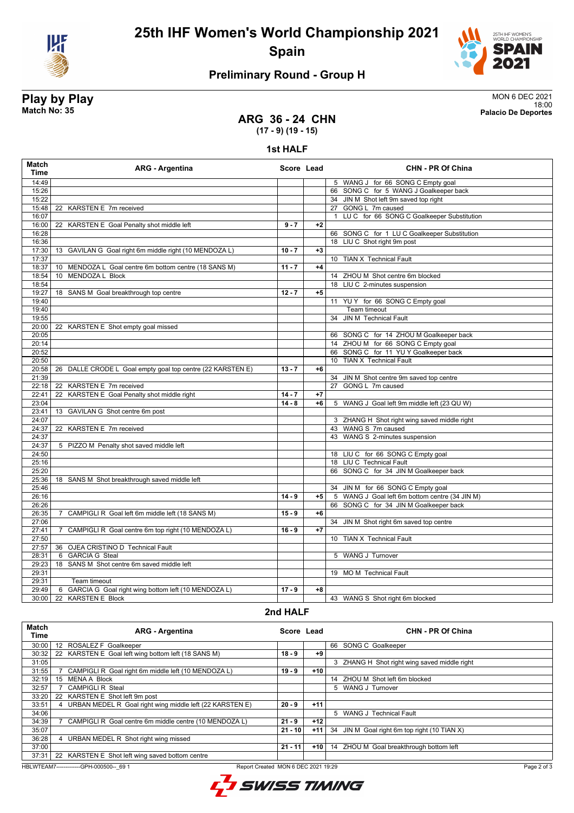

## **25th IHF Women's World Championship 2021 Spain**



## **Preliminary Round - Group H**

# **Play by Play**<br>MON 6 DEC 2021<br>Match No: 35<br>Palacio De Deportes

18:00 **Match No: 35 Palacio De Deportes**

#### **ARG 36 - 24 CHN (17 - 9) (19 - 15)**

#### **1st HALF**

| <b>Match</b><br><b>Time</b> | <b>ARG - Argentina</b>                                               | Score Lead |      | <b>CHN - PR Of China</b>                                  |
|-----------------------------|----------------------------------------------------------------------|------------|------|-----------------------------------------------------------|
| 14:49                       |                                                                      |            |      | 5 WANG J for 66 SONG C Empty goal                         |
| 15:26                       |                                                                      |            |      | 66 SONG C for 5 WANG J Goalkeeper back                    |
| 15:22                       |                                                                      |            |      | 34 JIN M Shot left 9m saved top right                     |
| 15:48                       | 22 KARSTEN E 7m received                                             |            |      | 27 GONG L 7m caused                                       |
| 16:07                       |                                                                      |            |      | LUC for 66 SONG C Goalkeeper Substitution<br>$\mathbf{1}$ |
| 16:00                       | 22 KARSTEN E Goal Penalty shot middle left                           | $9 - 7$    | $+2$ |                                                           |
| 16:28                       |                                                                      |            |      | 66 SONG C for 1 LU C Goalkeeper Substitution              |
| 16:36                       |                                                                      |            |      | 18 LIU C Shot right 9m post                               |
| 17:30                       | 13 GAVILAN G Goal right 6m middle right (10 MENDOZA L)               | $10 - 7$   | $+3$ |                                                           |
| 17:37                       |                                                                      |            |      | 10 TIAN X Technical Fault                                 |
| 18:37                       | 10 MENDOZA L Goal centre 6m bottom centre (18 SANS M)                | $11 - 7$   | $+4$ |                                                           |
| 18:54                       | 10 MENDOZA L Block                                                   |            |      | 14 ZHOU M Shot centre 6m blocked                          |
| 18:54                       |                                                                      |            |      | 18 LIU C 2-minutes suspension                             |
| 19:27                       | 18 SANS M Goal breakthrough top centre                               | $12 - 7$   | $+5$ |                                                           |
| 19:40                       |                                                                      |            |      | 11 YUY for 66 SONG C Empty goal                           |
| 19:40                       |                                                                      |            |      | Team timeout                                              |
| 19:55                       |                                                                      |            |      | 34 JIN M Technical Fault                                  |
| 20:00                       | 22 KARSTEN E Shot empty goal missed                                  |            |      |                                                           |
| 20:05                       |                                                                      |            |      | 66 SONG C for 14 ZHOU M Goalkeeper back                   |
| 20:14                       |                                                                      |            |      | 14 ZHOU M for 66 SONG C Empty goal                        |
| 20:52                       |                                                                      |            |      | 66 SONG C for 11 YU Y Goalkeeper back                     |
| 20:50                       |                                                                      |            |      | 10 TIAN X Technical Fault                                 |
|                             |                                                                      | $13 - 7$   | $+6$ |                                                           |
| 20:58                       | 26 DALLE CRODE L Goal empty goal top centre (22 KARSTEN E)           |            |      |                                                           |
| 21:39                       |                                                                      |            |      | 34 JIN M Shot centre 9m saved top centre                  |
| 22:18                       | 22 KARSTEN E 7m received                                             |            |      | 27 GONG L 7m caused                                       |
| 22:41                       | KARSTEN E Goal Penalty shot middle right<br>22                       | $14 - 7$   | $+7$ |                                                           |
| 23:04                       |                                                                      | $14 - 8$   | $+6$ | 5 WANG J Goal left 9m middle left (23 QU W)               |
| 23:41                       | 13 GAVILAN G Shot centre 6m post                                     |            |      |                                                           |
| 24:07                       |                                                                      |            |      | 3 ZHANG H Shot right wing saved middle right              |
| 24:37                       | KARSTEN E 7m received<br>22                                          |            |      | 43 WANG S 7m caused                                       |
| 24:37                       |                                                                      |            |      | 43 WANG S 2-minutes suspension                            |
| 24:37                       | 5 PIZZO M Penalty shot saved middle left                             |            |      |                                                           |
| 24:50                       |                                                                      |            |      | 18 LIU C for 66 SONG C Empty goal                         |
| 25:16                       |                                                                      |            |      | 18 LIU C Technical Fault                                  |
| 25:20                       |                                                                      |            |      | 66 SONG C for 34 JIN M Goalkeeper back                    |
| 25:36                       | 18 SANS M Shot breakthrough saved middle left                        |            |      |                                                           |
| 25:46                       |                                                                      |            |      | 34 JIN M for 66 SONG C Empty goal                         |
| 26:16                       |                                                                      | $14 - 9$   | $+5$ | 5 WANG J Goal left 6m bottom centre (34 JIN M)            |
| 26:26                       |                                                                      |            |      | 66 SONG C for 34 JIN M Goalkeeper back                    |
| 26:35                       | CAMPIGLI R Goal left 6m middle left (18 SANS M)<br>$\overline{7}$    | $15 - 9$   | $+6$ |                                                           |
| 27:06                       |                                                                      |            |      | 34 JIN M Shot right 6m saved top centre                   |
| 27:41                       | CAMPIGLI R Goal centre 6m top right (10 MENDOZA L)<br>$\overline{7}$ | $16 - 9$   | $+7$ |                                                           |
| 27:50                       |                                                                      |            |      | 10 TIAN X Technical Fault                                 |
| 27:57                       | 36 OJEA CRISTINO D Technical Fault                                   |            |      |                                                           |
| 28:31                       | 6 GARCIA G Steal                                                     |            |      | 5 WANG J Turnover                                         |
| 29:23                       | 18 SANS M Shot centre 6m saved middle left                           |            |      |                                                           |
| 29:31                       |                                                                      |            |      | 19 MO M Technical Fault                                   |
|                             |                                                                      |            |      |                                                           |
| 29:31                       | Team timeout                                                         |            |      |                                                           |
| 29:49                       | GARCIA G Goal right wing bottom left (10 MENDOZA L)<br>6             | $17 - 9$   | $+8$ |                                                           |
| 30:00                       | 22 KARSTEN E Block                                                   |            |      | 43 WANG S Shot right 6m blocked                           |

#### **2nd HALF**

| Match<br>Time                                                                                 | <b>ARG - Argentina</b>                                   | Score Lead |       | <b>CHN - PR Of China</b>                     |  |
|-----------------------------------------------------------------------------------------------|----------------------------------------------------------|------------|-------|----------------------------------------------|--|
| 30:00                                                                                         | ROSALEZ F Goalkeeper<br>12                               |            |       | SONG C Goalkeeper<br>66                      |  |
| 30:32                                                                                         | 22 KARSTEN E Goal left wing bottom left (18 SANS M)      | $18 - 9$   | +9    |                                              |  |
| 31:05                                                                                         |                                                          |            |       | 3 ZHANG H Shot right wing saved middle right |  |
| 31:55                                                                                         | CAMPIGLI R Goal right 6m middle left (10 MENDOZA L)      | $19 - 9$   | $+10$ |                                              |  |
| 32:19                                                                                         | <b>MENA A Block</b><br>15                                |            |       | 14 ZHOU M Shot left 6m blocked               |  |
| 32:57                                                                                         | <b>CAMPIGLI R Steal</b>                                  |            |       | 5 WANG J Turnover                            |  |
| 33:20                                                                                         | 22 KARSTEN E Shot left 9m post                           |            |       |                                              |  |
| 33:51                                                                                         | URBAN MEDEL R Goal right wing middle left (22 KARSTEN E) | $20 - 9$   | $+11$ |                                              |  |
| 34:06                                                                                         |                                                          |            |       | 5 WANG J Technical Fault                     |  |
| 34:39                                                                                         | CAMPIGLI R Goal centre 6m middle centre (10 MENDOZA L)   | $21 - 9$   | $+12$ |                                              |  |
| 35:07                                                                                         |                                                          | $21 - 10$  | $+11$ | 34 JIN M Goal right 6m top right (10 TIAN X) |  |
| 36:28                                                                                         | URBAN MEDEL R Shot right wing missed                     |            |       |                                              |  |
| 37:00                                                                                         |                                                          | $21 - 11$  | $+10$ | 14 ZHOU M Goal breakthrough bottom left      |  |
| 37:31                                                                                         | 22 KARSTEN E Shot left wing saved bottom centre          |            |       |                                              |  |
| HBLWTEAM7-------------GPH-000500-- 69 1<br>Page 2 of 3<br>Report Created MON 6 DEC 2021 19:29 |                                                          |            |       |                                              |  |



Page 2 of 3